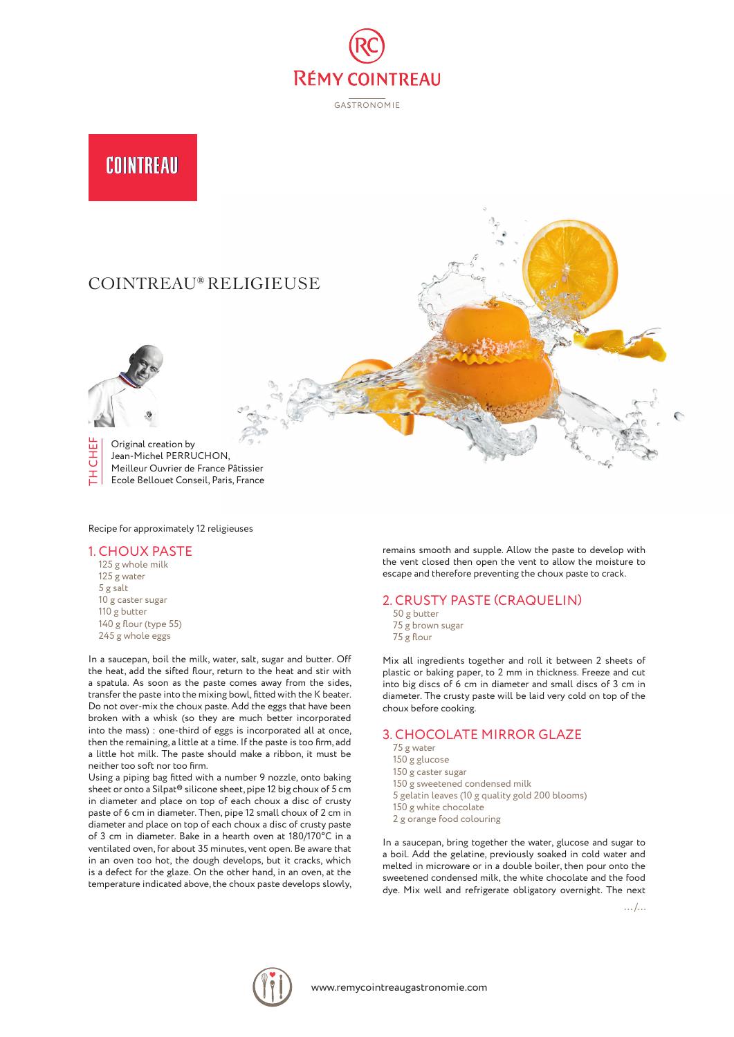

**GASTRONOMIE** 

# COINTREAU

# COINTREAU® RELIGIEUSE



TH CHEF Original creation by ËHË Jean-Michel PERRUCHON, Meilleur Ouvrier de France Pâtissier 폰 Ecole Bellouet Conseil, Paris, France

Recipe for approximately 12 religieuses

#### 1. CHOUX PASTE

125 g whole milk 125 g water 5 g salt 10 g caster sugar 110 g butter 140 g flour (type 55) 245 g whole eggs

In a saucepan, boil the milk, water, salt, sugar and butter. Off the heat, add the sifted flour, return to the heat and stir with a spatula. As soon as the paste comes away from the sides, transfer the paste into the mixing bowl, fitted with the K beater. Do not over-mix the choux paste. Add the eggs that have been broken with a whisk (so they are much better incorporated into the mass) : one-third of eggs is incorporated all at once, then the remaining, a little at a time. If the paste is too firm, add a little hot milk. The paste should make a ribbon, it must be neither too soft nor too firm.

Using a piping bag fitted with a number 9 nozzle, onto baking sheet or onto a Silpat® silicone sheet, pipe 12 big choux of 5 cm in diameter and place on top of each choux a disc of crusty paste of 6 cm in diameter. Then, pipe 12 small choux of 2 cm in diameter and place on top of each choux a disc of crusty paste of 3 cm in diameter. Bake in a hearth oven at 180/170°C in a ventilated oven, for about 35 minutes, vent open. Be aware that in an oven too hot, the dough develops, but it cracks, which is a defect for the glaze. On the other hand, in an oven, at the temperature indicated above, the choux paste develops slowly,

remains smooth and supple. Allow the paste to develop with the vent closed then open the vent to allow the moisture to escape and therefore preventing the choux paste to crack.

## 2. CRUSTY PASTE (CRAQUELIN)

- 50 g butter
- 75 g brown sugar 75 g flour

Mix all ingredients together and roll it between 2 sheets of plastic or baking paper, to 2 mm in thickness. Freeze and cut into big discs of 6 cm in diameter and small discs of 3 cm in diameter. The crusty paste will be laid very cold on top of the choux before cooking.

# 3. CHOCOLATE MIRROR GLAZE

- 75 g water
- 150 g glucose
- 150 g caster sugar
- 150 g sweetened condensed milk 5 gelatin leaves (10 g quality gold 200 blooms)
- 150 g white chocolate
- 2 g orange food colouring
- 

In a saucepan, bring together the water, glucose and sugar to a boil. Add the gelatine, previously soaked in cold water and melted in microware or in a double boiler, then pour onto the sweetened condensed milk, the white chocolate and the food dye. Mix well and refrigerate obligatory overnight. The next

... /...